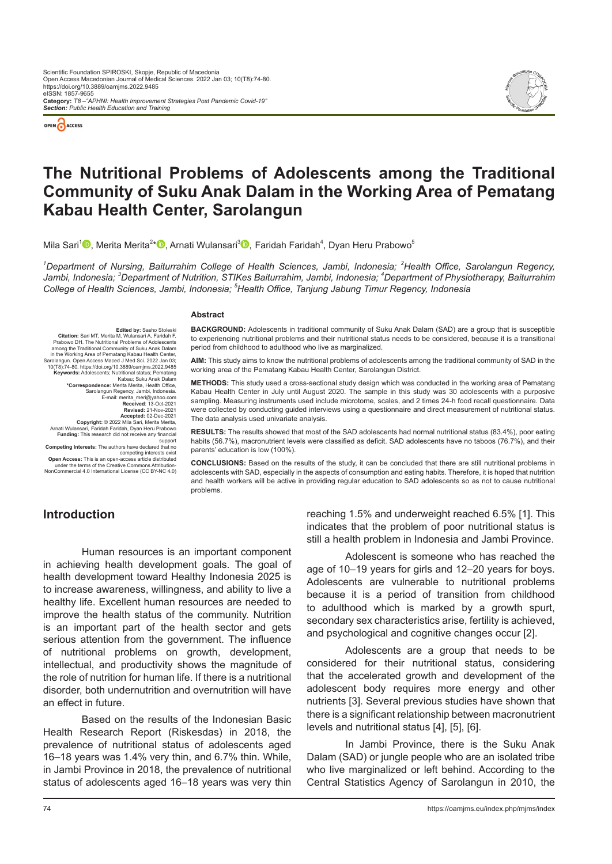



# **The Nutritional Problems of Adolescents among the Traditional Community of Suku Anak Dalam in the Working Area of Pematang Kabau Health Center, Sarolangun**

Mila Sari<sup>1</sup>❶[,](https://orcid.org/0000-0002-2884-047X) Merita Merita<sup>2</sup>[\\*](https://orcid.org/0000-0002-6168-7366)❶, Arnati Wulansari<sup>3</sup>❶, Faridah Faridah<sup>4</sup>, Dyan Heru Prabowo<sup>5</sup>

<sup>1</sup>Department of Nursing, Baiturrahim College of Health Sciences, Jambi, Indonesia; <sup>2</sup>Health Office, Sarolangun Regency, *Jambi, Indonesia; 3 Department of Nutrition, STIKes Baiturrahim, Jambi, Indonesia; 4 Department of Physiotherapy, Baiturrahim College of Health Sciences, Jambi, Indonesia; <sup>5</sup> Health Office, Tanjung Jabung Timur Regency, Indonesia*

#### **Abstract**

**Edited by:** Sasho Stoleski<br>Citation: Sari MT Merita M Wulansari A Faridah F Citation: Sari MT, Merita M, Wulansari A, Faridah F,<br>Prabowo DH. The Nurtritonal Problems of Adolescents<br>among the Traditional Community of Suku Anak Dalam<br>in the Working Area of Pematang Kabau Health Center,<br>Sarolangun. O **Keywords:** Adolescents; Nutritional status; Pematang Kabau; Suku Anak Dalam **\*Correspondence:** Merita Merita, Health Office, Sarolangun Regency, Jambi, Indonesia. E-mail: merita\_meri@yahoo.com **Received**: 13-Oct-2021 **Revised:** 21-Nov-2021 **Accepted:** 02-Dec-2021 **Copyright:** © 2022 Mila Sari, Merita Merita, Arnati Wulansari,  Faridah Faridah, Dyan Heru Prabowo **Funding:** This research did not receive any financial

support **Competing Interests:** The authors have declared that no competing interests exist **Open Access:** This is an open-access article distributed under the terms of the Creative Commons Attribution-NonCommercial 4.0 International License (CC BY-NC 4.0)

**BACKGROUND:** Adolescents in traditional community of Suku Anak Dalam (SAD) are a group that is susceptible to experiencing nutritional problems and their nutritional status needs to be considered, because it is a transitional period from childhood to adulthood who live as marginalized.

**AIM:** This study aims to know the nutritional problems of adolescents among the traditional community of SAD in the working area of the Pematang Kabau Health Center, Sarolangun District.

**METHODS:** This study used a cross-sectional study design which was conducted in the working area of Pematang Kabau Health Center in July until August 2020. The sample in this study was 30 adolescents with a purposive sampling. Measuring instruments used include microtome, scales, and 2 times 24-h food recall questionnaire. Data were collected by conducting guided interviews using a questionnaire and direct measurement of nutritional status. The data analysis used univariate analysis.

**RESULTS:** The results showed that most of the SAD adolescents had normal nutritional status (83.4%), poor eating habits (56.7%), macronutrient levels were classified as deficit. SAD adolescents have no taboos (76.7%), and their parents' education is low (100%).

**CONCLUSIONS:** Based on the results of the study, it can be concluded that there are still nutritional problems in adolescents with SAD, especially in the aspects of consumption and eating habits. Therefore, it is hoped that nutrition and health workers will be active in providing regular education to SAD adolescents so as not to cause nutritional problems.

# **Introduction**

Human resources is an important component in achieving health development goals. The goal of health development toward Healthy Indonesia 2025 is to increase awareness, willingness, and ability to live a healthy life. Excellent human resources are needed to improve the health status of the community. Nutrition is an important part of the health sector and gets serious attention from the government. The influence of nutritional problems on growth, development, intellectual, and productivity shows the magnitude of the role of nutrition for human life. If there is a nutritional disorder, both undernutrition and overnutrition will have an effect in future.

Based on the results of the Indonesian Basic Health Research Report (Riskesdas) in 2018, the prevalence of nutritional status of adolescents aged 16–18 years was 1.4% very thin, and 6.7% thin. While, in Jambi Province in 2018, the prevalence of nutritional status of adolescents aged 16–18 years was very thin

reaching 1.5% and underweight reached 6.5% [1]. This indicates that the problem of poor nutritional status is still a health problem in Indonesia and Jambi Province.

Adolescent is someone who has reached the age of 10–19 years for girls and 12–20 years for boys. Adolescents are vulnerable to nutritional problems because it is a period of transition from childhood to adulthood which is marked by a growth spurt, secondary sex characteristics arise, fertility is achieved, and psychological and cognitive changes occur [2].

Adolescents are a group that needs to be considered for their nutritional status, considering that the accelerated growth and development of the adolescent body requires more energy and other nutrients [3]. Several previous studies have shown that there is a significant relationship between macronutrient levels and nutritional status [4], [5], [6].

In Jambi Province, there is the Suku Anak Dalam (SAD) or jungle people who are an isolated tribe who live marginalized or left behind. According to the Central Statistics Agency of Sarolangun in 2010, the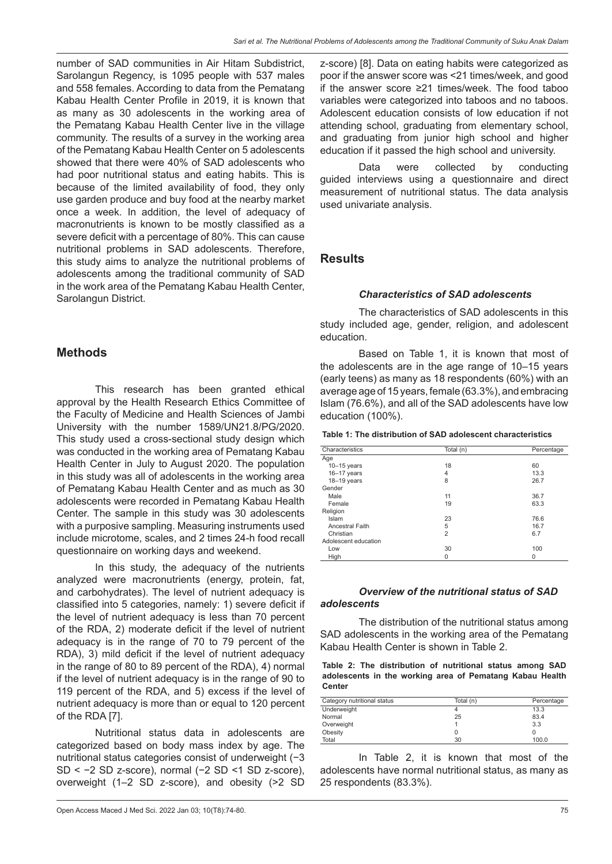number of SAD communities in Air Hitam Subdistrict, Sarolangun Regency, is 1095 people with 537 males and 558 females. According to data from the Pematang Kabau Health Center Profile in 2019, it is known that as many as 30 adolescents in the working area of the Pematang Kabau Health Center live in the village community.  The results of a survey in the working area of the Pematang Kabau Health Center on 5 adolescents showed that there were 40% of SAD adolescents who had poor nutritional status and eating habits. This is because of the limited availability of food, they only use garden produce and buy food at the nearby market once a week. In addition, the level of adequacy of macronutrients is known to be mostly classified as a severe deficit with a percentage of 80%. This can cause nutritional problems in SAD adolescents. Therefore, this study aims to analyze the nutritional problems of adolescents among the traditional community of SAD in the work area of the Pematang Kabau Health Center, Sarolangun District.

# **Methods**

This research has been granted ethical approval by the Health Research Ethics Committee of the Faculty of Medicine and Health Sciences of Jambi University with the number 1589/UN21.8/PG/2020. This study used a cross-sectional study design which was conducted in the working area of Pematang Kabau Health Center in July to August 2020. The population in this study was all of adolescents in the working area of Pematang Kabau Health Center and as much as 30 adolescents were recorded in Pematang Kabau Health Center. The sample in this study was 30 adolescents with a purposive sampling. Measuring instruments used include microtome, scales, and 2 times 24-h food recall questionnaire on working days and weekend.

In this study, the adequacy of the nutrients analyzed were macronutrients (energy, protein, fat, and carbohydrates). The level of nutrient adequacy is classified into 5 categories, namely: 1) severe deficit if the level of nutrient adequacy is less than 70 percent of the RDA, 2) moderate deficit if the level of nutrient adequacy is in the range of 70 to 79 percent of the RDA), 3) mild deficit if the level of nutrient adequacy in the range of 80 to 89 percent of the RDA), 4) normal if the level of nutrient adequacy is in the range of 90 to 119 percent of the RDA, and 5) excess if the level of nutrient adequacy is more than or equal to 120 percent of the RDA [7].

Nutritional status data in adolescents are categorized based on body mass index by age. The nutritional status categories consist of underweight (−3 SD < −2 SD z-score), normal (−2 SD <1 SD z-score), overweight (1–2 SD z-score), and obesity (>2 SD z-score) [8]. Data on eating habits were categorized as poor if the answer score was <21 times/week, and good if the answer score ≥21 times/week. The food taboo variables were categorized into taboos and no taboos. Adolescent education consists of low education if not attending school, graduating from elementary school, and graduating from junior high school and higher education if it passed the high school and university.

Data were collected by conducting guided interviews using a questionnaire and direct measurement of nutritional status. The data analysis used univariate analysis.

## **Results**

#### *Characteristics of SAD adolescents*

The characteristics of SAD adolescents in this study included age, gender, religion, and adolescent education.

Based on Table 1, it is known that most of the adolescents are in the age range of 10–15 years (early teens) as many as 18 respondents (60%) with an average age of 15 years, female (63.3%), and embracing Islam (76.6%), and all of the SAD adolescents have low education (100%).

**Table 1: The distribution of SAD adolescent characteristics**

| Characteristics        | Total (n)      | Percentage |
|------------------------|----------------|------------|
| Age                    |                |            |
| $10-15$ years          | 18             | 60         |
| $16 - 17$ years        | 4              | 13.3       |
| $18 - 19$ years        | 8              | 26.7       |
| Gender                 |                |            |
| Male                   | 11             | 36.7       |
| Female                 | 19             | 63.3       |
| Religion               |                |            |
| Islam                  | 23             | 76.6       |
| <b>Ancestral Faith</b> | 5              | 16.7       |
| Christian              | $\overline{2}$ | 6.7        |
| Adolescent education   |                |            |
| Low                    | 30             | 100        |
| High                   | 0              | 0          |

## *Overview of the nutritional status of SAD adolescents*

The distribution of the nutritional status among SAD adolescents in the working area of the Pematang Kabau Health Center is shown in Table 2.

**Table 2: The distribution of nutritional status among SAD adolescents in the working area of Pematang Kabau Health Center**

| Category nutritional status | Total (n) | Percentage |
|-----------------------------|-----------|------------|
| Underweight                 |           | 13.3       |
| Normal                      | 25        | 83.4       |
| Overweight                  |           | 3.3        |
| Obesity                     |           |            |
| Total                       | 30        | 100.0      |

In Table 2, it is known that most of the adolescents have normal nutritional status, as many as 25 respondents (83.3%).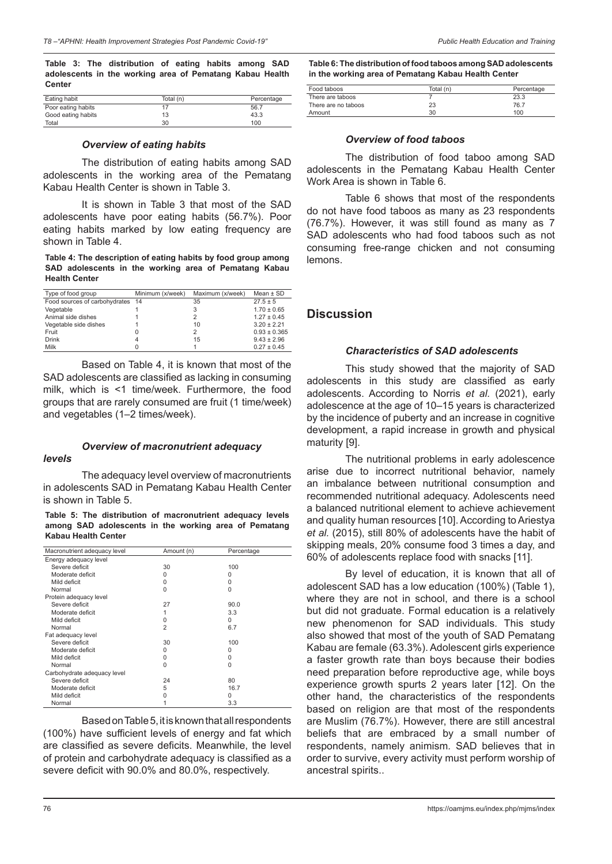**Table 3: The distribution of eating habits among SAD adolescents in the working area of Pematang Kabau Health Center**

| Eating habit       | Total (n) | Percentage |
|--------------------|-----------|------------|
| Poor eating habits |           | 56.7       |
| Good eating habits | 13        | 43.3       |
| Total              | 30        | 100        |

### *Overview of eating habits*

The distribution of eating habits among SAD adolescents in the working area of the Pematang Kabau Health Center is shown in Table 3.

It is shown in Table 3 that most of the SAD adolescents have poor eating habits (56.7%). Poor eating habits marked by low eating frequency are shown in Table 4.

**Table 4: The description of eating habits by food group among SAD adolescents in the working area of Pematang Kabau Health Center**

| Type of food group               | Minimum (x/week) | Maximum (x/week) | Mean $\pm$ SD    |
|----------------------------------|------------------|------------------|------------------|
| Food sources of carbohydrates 14 |                  | 35               | $27.5 \pm 5$     |
| Vegetable                        |                  | 3                | $1.70 \pm 0.65$  |
| Animal side dishes               |                  | 2                | $1.27 \pm 0.45$  |
| Vegetable side dishes            |                  | 10               | $3.20 \pm 2.21$  |
| Fruit                            | 0                | 2                | $0.93 \pm 0.365$ |
| <b>Drink</b>                     | 4                | 15               | $9.43 \pm 2.96$  |
| Milk                             |                  |                  | $0.27 \pm 0.45$  |

Based on Table 4, it is known that most of the SAD adolescents are classified as lacking in consuming milk, which is <1 time/week. Furthermore, the food groups that are rarely consumed are fruit (1 time/week) and vegetables (1–2 times/week).

#### *Overview of macronutrient adequacy*

#### *levels*

The adequacy level overview of macronutrients in adolescents SAD in Pematang Kabau Health Center is shown in Table 5.

**Table 5: The distribution of macronutrient adequacy levels among SAD adolescents in the working area of Pematang Kabau Health Center**

| Macronutrient adequacy level | Amount (n)     | Percentage |
|------------------------------|----------------|------------|
| Energy adequacy level        |                |            |
| Severe deficit               | 30             | 100        |
| Moderate deficit             | <sup>0</sup>   | $\Omega$   |
| Mild deficit                 | <sup>0</sup>   | $\Omega$   |
| Normal                       | O              | $\Omega$   |
| Protein adequacy level       |                |            |
| Severe deficit               | 27             | 90.0       |
| Moderate deficit             |                | 3.3        |
| Mild deficit                 | $\Omega$       | 0          |
| Normal                       | $\overline{2}$ | 6.7        |
| Fat adequacy level           |                |            |
| Severe deficit               | 30             | 100        |
| Moderate deficit             | 0              | $\Omega$   |
| Mild deficit                 | 0              | 0          |
| Normal                       | $\Omega$       | 0          |
| Carbohydrate adequacy level  |                |            |
| Severe deficit               | 24             | 80         |
| Moderate deficit             | 5              | 16.7       |
| Mild deficit                 | O              | 0          |
| Normal                       |                | 3.3        |

Based on Table5, it is known that all respondents (100%) have sufficient levels of energy and fat which are classified as severe deficits. Meanwhile, the level of protein and carbohydrate adequacy is classified as a severe deficit with 90.0% and 80.0%, respectively.

**Table 6: The distribution of food taboos among SAD adolescents in the working area of Pematang Kabau Health Center**

| Food taboos         | Total (n) | Percentage |
|---------------------|-----------|------------|
| There are taboos    |           | 23.3       |
| There are no taboos | 23        | 76.7       |
| Amount              | 30        | 100        |

#### *Overview of food taboos*

The distribution of food taboo among SAD adolescents in the Pematang Kabau Health Center Work Area is shown in Table 6.

Table 6 shows that most of the respondents do not have food taboos as many as 23 respondents (76.7%). However, it was still found as many as 7 SAD adolescents who had food taboos such as not consuming free-range chicken and not consuming lemons.

### **Discussion**

#### *Characteristics of SAD adolescents*

This study showed that the majority of SAD adolescents in this study are classified as early adolescents. According to Norris *et al.* (2021), early adolescence at the age of 10–15 years is characterized by the incidence of puberty and an increase in cognitive development, a rapid increase in growth and physical maturity [9].

The nutritional problems in early adolescence arise due to incorrect nutritional behavior, namely an imbalance between nutritional consumption and recommended nutritional adequacy. Adolescents need a balanced nutritional element to achieve achievement and quality human resources [10]. According to Ariestya *et al.* (2015), still 80% of adolescents have the habit of skipping meals, 20% consume food 3 times a day, and 60% of adolescents replace food with snacks [11].

By level of education, it is known that all of adolescent SAD has a low education (100%) (Table 1), where they are not in school, and there is a school but did not graduate. Formal education is a relatively new phenomenon for SAD individuals. This study also showed that most of the youth of SAD Pematang Kabau are female (63.3%). Adolescent girls experience a faster growth rate than boys because their bodies need preparation before reproductive age, while boys experience growth spurts 2 years later [12]. On the other hand, the characteristics of the respondents based on religion are that most of the respondents are Muslim (76.7%). However, there are still ancestral beliefs that are embraced by a small number of respondents, namely animism*.* SAD believes that in order to survive, every activity must perform worship of ancestral spirits..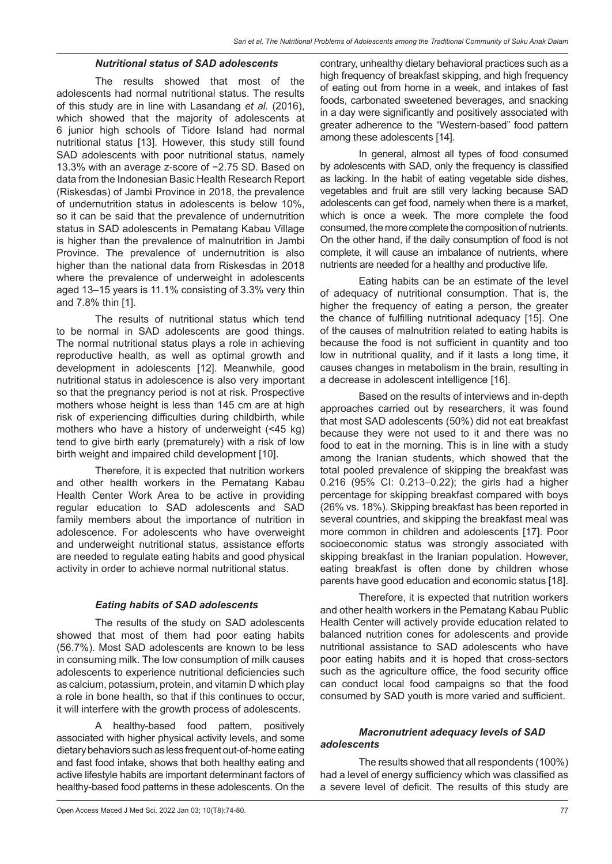### *Nutritional status of SAD adolescents*

The results showed that most of the adolescents had normal nutritional status. The results of this study are in line with Lasandang *et al.* (2016), which showed that the majority of adolescents at 6 junior high schools of Tidore Island had normal nutritional status [13]. However, this study still found SAD adolescents with poor nutritional status, namely 13.3% with an average z-score of −2.75 SD. Based on data from the Indonesian Basic Health Research Report (Riskesdas) of Jambi Province in 2018, the prevalence of undernutrition status in adolescents is below 10%, so it can be said that the prevalence of undernutrition status in SAD adolescents in Pematang Kabau Village is higher than the prevalence of malnutrition in Jambi Province. The prevalence of undernutrition is also higher than the national data from Riskesdas in 2018 where the prevalence of underweight in adolescents aged 13–15 years is 11.1% consisting of 3.3% very thin and 7.8% thin [1].

The results of nutritional status which tend to be normal in SAD adolescents are good things. The normal nutritional status plays a role in achieving reproductive health, as well as optimal growth and development in adolescents [12]. Meanwhile, good nutritional status in adolescence is also very important so that the pregnancy period is not at risk. Prospective mothers whose height is less than 145 cm are at high risk of experiencing difficulties during childbirth, while mothers who have a history of underweight (<45 kg) tend to give birth early (prematurely) with a risk of low birth weight and impaired child development [10].

Therefore, it is expected that nutrition workers and other health workers in the Pematang Kabau Health Center Work Area to be active in providing regular education to SAD adolescents and SAD family members about the importance of nutrition in adolescence. For adolescents who have overweight and underweight nutritional status, assistance efforts are needed to regulate eating habits and good physical activity in order to achieve normal nutritional status.

## *Eating habits of SAD adolescents*

The results of the study on SAD adolescents showed that most of them had poor eating habits (56.7%). Most SAD adolescents are known to be less in consuming milk. The low consumption of milk causes adolescents to experience nutritional deficiencies such as calcium, potassium, protein, and vitamin D which play a role in bone health, so that if this continues to occur, it will interfere with the growth process of adolescents.

A healthy-based food pattern, positively associated with higher physical activity levels, and some dietary behaviors such as less frequent out-of-home eating and fast food intake, shows that both healthy eating and active lifestyle habits are important determinant factors of healthy-based food patterns in these adolescents. On the

contrary, unhealthy dietary behavioral practices such as a high frequency of breakfast skipping, and high frequency of eating out from home in a week, and intakes of fast foods, carbonated sweetened beverages, and snacking in a day were significantly and positively associated with greater adherence to the "Western-based" food pattern among these adolescents [14].

In general, almost all types of food consumed by adolescents with SAD, only the frequency is classified as lacking. In the habit of eating vegetable side dishes, vegetables and fruit are still very lacking because SAD adolescents can get food, namely when there is a market, which is once a week. The more complete the food consumed, the more complete the composition of nutrients. On the other hand, if the daily consumption of food is not complete, it will cause an imbalance of nutrients, where nutrients are needed for a healthy and productive life.

Eating habits can be an estimate of the level of adequacy of nutritional consumption. That is, the higher the frequency of eating a person, the greater the chance of fulfilling nutritional adequacy [15]. One of the causes of malnutrition related to eating habits is because the food is not sufficient in quantity and too low in nutritional quality, and if it lasts a long time, it causes changes in metabolism in the brain, resulting in a decrease in adolescent intelligence [16].

Based on the results of interviews and in-depth approaches carried out by researchers, it was found that most SAD adolescents (50%) did not eat breakfast because they were not used to it and there was no food to eat in the morning. This is in line with a study among the Iranian students, which showed that the total pooled prevalence of skipping the breakfast was 0.216 (95% CI: 0.213–0.22); the girls had a higher percentage for skipping breakfast compared with boys (26% vs. 18%). Skipping breakfast has been reported in several countries, and skipping the breakfast meal was more common in children and adolescents [17]. Poor socioeconomic status was strongly associated with skipping breakfast in the Iranian population. However, eating breakfast is often done by children whose parents have good education and economic status [18].

Therefore, it is expected that nutrition workers and other health workers in the Pematang Kabau Public Health Center will actively provide education related to balanced nutrition cones for adolescents and provide nutritional assistance to SAD adolescents who have poor eating habits and it is hoped that cross-sectors such as the agriculture office, the food security office can conduct local food campaigns so that the food consumed by SAD youth is more varied and sufficient.

# *Macronutrient adequacy levels of SAD adolescents*

The results showed that all respondents (100%) had a level of energy sufficiency which was classified as a severe level of deficit. The results of this study are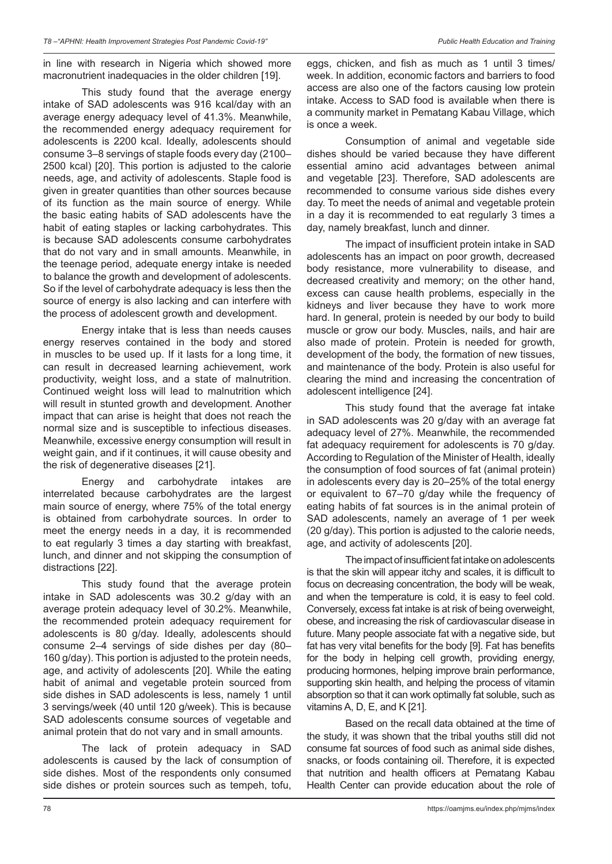in line with research in Nigeria which showed more macronutrient inadequacies in the older children [19].

This study found that the average energy intake of SAD adolescents was 916 kcal/day with an average energy adequacy level of 41.3%. Meanwhile, the recommended energy adequacy requirement for adolescents is 2200 kcal. Ideally, adolescents should consume 3–8 servings of staple foods every day (2100– 2500 kcal) [20]. This portion is adjusted to the calorie needs, age, and activity of adolescents. Staple food is given in greater quantities than other sources because of its function as the main source of energy. While the basic eating habits of SAD adolescents have the habit of eating staples or lacking carbohydrates. This is because SAD adolescents consume carbohydrates that do not vary and in small amounts. Meanwhile, in the teenage period, adequate energy intake is needed to balance the growth and development of adolescents. So if the level of carbohydrate adequacy is less then the source of energy is also lacking and can interfere with the process of adolescent growth and development.

Energy intake that is less than needs causes energy reserves contained in the body and stored in muscles to be used up. If it lasts for a long time, it can result in decreased learning achievement, work productivity, weight loss, and a state of malnutrition. Continued weight loss will lead to malnutrition which will result in stunted growth and development. Another impact that can arise is height that does not reach the normal size and is susceptible to infectious diseases. Meanwhile, excessive energy consumption will result in weight gain, and if it continues, it will cause obesity and the risk of degenerative diseases [21].

Energy and carbohydrate intakes are interrelated because carbohydrates are the largest main source of energy, where 75% of the total energy is obtained from carbohydrate sources. In order to meet the energy needs in a day, it is recommended to eat regularly 3 times a day starting with breakfast, lunch, and dinner and not skipping the consumption of distractions [22].

This study found that the average protein intake in SAD adolescents was 30.2 g/day with an average protein adequacy level of 30.2%. Meanwhile, the recommended protein adequacy requirement for adolescents is 80 g/day. Ideally, adolescents should consume 2–4 servings of side dishes per day (80– 160 g/day). This portion is adjusted to the protein needs, age, and activity of adolescents [20]. While the eating habit of animal and vegetable protein sourced from side dishes in SAD adolescents is less, namely 1 until 3 servings/week (40 until 120 g/week). This is because SAD adolescents consume sources of vegetable and animal protein that do not vary and in small amounts.

The lack of protein adequacy in SAD adolescents is caused by the lack of consumption of side dishes. Most of the respondents only consumed side dishes or protein sources such as tempeh, tofu,

eggs, chicken, and fish as much as 1 until 3 times/ week. In addition, economic factors and barriers to food access are also one of the factors causing low protein intake. Access to SAD food is available when there is a community market in Pematang Kabau Village, which is once a week.

Consumption of animal and vegetable side dishes should be varied because they have different essential amino acid advantages between animal and vegetable [23]. Therefore, SAD adolescents are recommended to consume various side dishes every day. To meet the needs of animal and vegetable protein in a day it is recommended to eat regularly 3 times a day, namely breakfast, lunch and dinner.

The impact of insufficient protein intake in SAD adolescents has an impact on poor growth, decreased body resistance, more vulnerability to disease, and decreased creativity and memory; on the other hand, excess can cause health problems, especially in the kidneys and liver because they have to work more hard. In general, protein is needed by our body to build muscle or grow our body. Muscles, nails, and hair are also made of protein. Protein is needed for growth, development of the body, the formation of new tissues, and maintenance of the body. Protein is also useful for clearing the mind and increasing the concentration of adolescent intelligence [24].

This study found that the average fat intake in SAD adolescents was 20 g/day with an average fat adequacy level of 27%. Meanwhile, the recommended fat adequacy requirement for adolescents is 70 g/day. According to Regulation of the Minister of Health, ideally the consumption of food sources of fat (animal protein) in adolescents every day is 20–25% of the total energy or equivalent to 67–70 g/day while the frequency of eating habits of fat sources is in the animal protein of SAD adolescents, namely an average of 1 per week (20 g/day). This portion is adjusted to the calorie needs, age, and activity of adolescents [20].

The impact of insufficient fat intake on adolescents is that the skin will appear itchy and scales, it is difficult to focus on decreasing concentration, the body will be weak, and when the temperature is cold, it is easy to feel cold. Conversely, excess fat intake is at risk of being overweight, obese, and increasing the risk of cardiovascular disease in future. Many people associate fat with a negative side, but fat has very vital benefits for the body [9]. Fat has benefits for the body in helping cell growth, providing energy, producing hormones, helping improve brain performance, supporting skin health, and helping the process of vitamin absorption so that it can work optimally fat soluble, such as vitamins A, D, E, and K [21].

Based on the recall data obtained at the time of the study, it was shown that the tribal youths still did not consume fat sources of food such as animal side dishes, snacks, or foods containing oil. Therefore, it is expected that nutrition and health officers at Pematang Kabau Health Center can provide education about the role of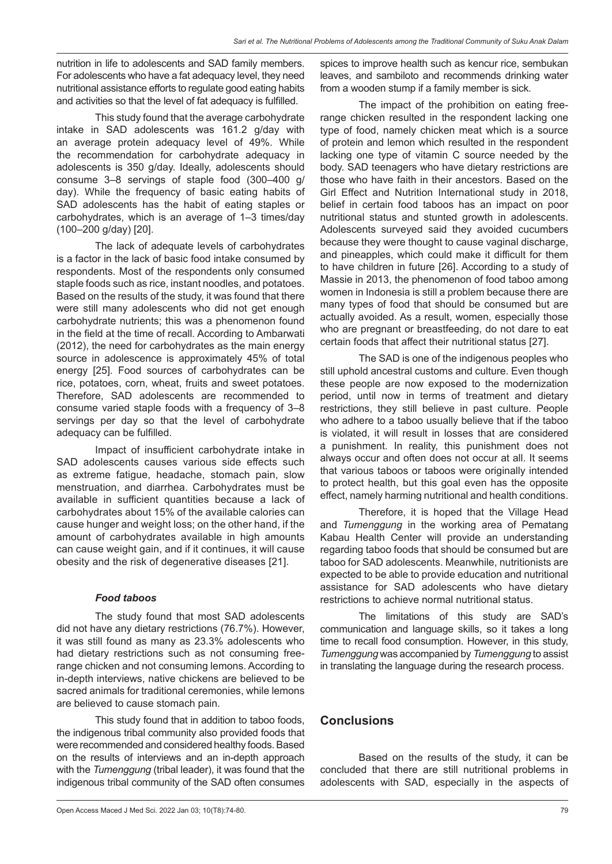nutrition in life to adolescents and SAD family members. For adolescents who have a fat adequacy level, they need nutritional assistance efforts to regulate good eating habits and activities so that the level of fat adequacy is fulfilled.

This study found that the average carbohydrate intake in SAD adolescents was 161.2 g/day with an average protein adequacy level of 49%. While the recommendation for carbohydrate adequacy in adolescents is 350 g/day. Ideally, adolescents should consume 3–8 servings of staple food (300–400 g/ day). While the frequency of basic eating habits of SAD adolescents has the habit of eating staples or carbohydrates, which is an average of 1–3 times/day (100–200 g/day) [20].

The lack of adequate levels of carbohydrates is a factor in the lack of basic food intake consumed by respondents. Most of the respondents only consumed staple foods such as rice, instant noodles, and potatoes. Based on the results of the study, it was found that there were still many adolescents who did not get enough carbohydrate nutrients; this was a phenomenon found in the field at the time of recall*.* According to Ambarwati (2012), the need for carbohydrates as the main energy source in adolescence is approximately 45% of total energy [25]. Food sources of carbohydrates can be rice, potatoes, corn, wheat, fruits and sweet potatoes. Therefore, SAD adolescents are recommended to consume varied staple foods with a frequency of 3–8 servings per day so that the level of carbohydrate adequacy can be fulfilled.

Impact of insufficient carbohydrate intake in SAD adolescents causes various side effects such as extreme fatigue, headache, stomach pain, slow menstruation, and diarrhea. Carbohydrates must be available in sufficient quantities because a lack of carbohydrates about 15% of the available calories can cause hunger and weight loss; on the other hand, if the amount of carbohydrates available in high amounts can cause weight gain, and if it continues, it will cause obesity and the risk of degenerative diseases [21].

## *Food taboos*

The study found that most SAD adolescents did not have any dietary restrictions (76.7%). However, it was still found as many as 23.3% adolescents who had dietary restrictions such as not consuming freerange chicken and not consuming lemons. According to in-depth interviews, native chickens are believed to be sacred animals for traditional ceremonies, while lemons are believed to cause stomach pain.

This study found that in addition to taboo foods, the indigenous tribal community also provided foods that were recommended and considered healthy foods. Based on the results of interviews and an in-depth approach with the *Tumenggung* (tribal leader), it was found that the indigenous tribal community of the SAD often consumes spices to improve health such as kencur rice, sembukan leaves, and sambiloto and recommends drinking water from a wooden stump if a family member is sick.

The impact of the prohibition on eating freerange chicken resulted in the respondent lacking one type of food, namely chicken meat which is a source of protein and lemon which resulted in the respondent lacking one type of vitamin C source needed by the body. SAD teenagers who have dietary restrictions are those who have faith in their ancestors. Based on the Girl Effect and Nutrition International study in 2018, belief in certain food taboos has an impact on poor nutritional status and stunted growth in adolescents. Adolescents surveyed said they avoided cucumbers because they were thought to cause vaginal discharge, and pineapples, which could make it difficult for them to have children in future [26]. According to a study of Massie in 2013, the phenomenon of food taboo among women in Indonesia is still a problem because there are many types of food that should be consumed but are actually avoided. As a result, women, especially those who are pregnant or breastfeeding, do not dare to eat certain foods that affect their nutritional status [27].

The SAD is one of the indigenous peoples who still uphold ancestral customs and culture. Even though these people are now exposed to the modernization period, until now in terms of treatment and dietary restrictions, they still believe in past culture. People who adhere to a taboo usually believe that if the taboo is violated, it will result in losses that are considered a punishment. In reality, this punishment does not always occur and often does not occur at all. It seems that various taboos or taboos were originally intended to protect health, but this goal even has the opposite effect, namely harming nutritional and health conditions.

Therefore, it is hoped that the Village Head and *Tumenggung* in the working area of Pematang Kabau Health Center will provide an understanding regarding taboo foods that should be consumed but are taboo for SAD adolescents. Meanwhile, nutritionists are expected to be able to provide education and nutritional assistance for SAD adolescents who have dietary restrictions to achieve normal nutritional status.

The limitations of this study are SAD's communication and language skills, so it takes a long time to recall food consumption. However, in this study, *Tumenggung* was accompanied by *Tumenggung* to assist in translating the language during the research process.

# **Conclusions**

Based on the results of the study, it can be concluded that there are still nutritional problems in adolescents with SAD, especially in the aspects of